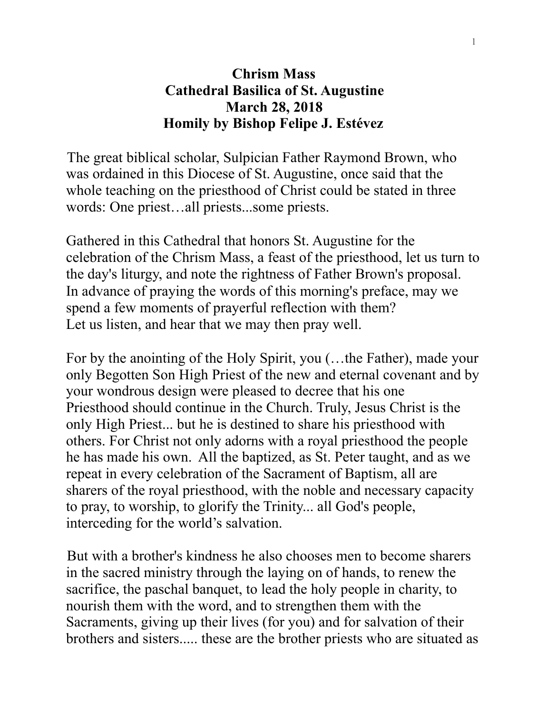## **Chrism Mass Cathedral Basilica of St. Augustine March 28, 2018 Homily by Bishop Felipe J. Estévez**

The great biblical scholar, Sulpician Father Raymond Brown, who was ordained in this Diocese of St. Augustine, once said that the whole teaching on the priesthood of Christ could be stated in three words: One priest…all priests...some priests.

Gathered in this Cathedral that honors St. Augustine for the celebration of the Chrism Mass, a feast of the priesthood, let us turn to the day's liturgy, and note the rightness of Father Brown's proposal. In advance of praying the words of this morning's preface, may we spend a few moments of prayerful reflection with them? Let us listen, and hear that we may then pray well.

For by the anointing of the Holy Spirit, you (…the Father), made your only Begotten Son High Priest of the new and eternal covenant and by your wondrous design were pleased to decree that his one Priesthood should continue in the Church. Truly, Jesus Christ is the only High Priest... but he is destined to share his priesthood with others. For Christ not only adorns with a royal priesthood the people he has made his own. All the baptized, as St. Peter taught, and as we repeat in every celebration of the Sacrament of Baptism, all are sharers of the royal priesthood, with the noble and necessary capacity to pray, to worship, to glorify the Trinity... all God's people, interceding for the world's salvation.

But with a brother's kindness he also chooses men to become sharers in the sacred ministry through the laying on of hands, to renew the sacrifice, the paschal banquet, to lead the holy people in charity, to nourish them with the word, and to strengthen them with the Sacraments, giving up their lives (for you) and for salvation of their brothers and sisters..... these are the brother priests who are situated as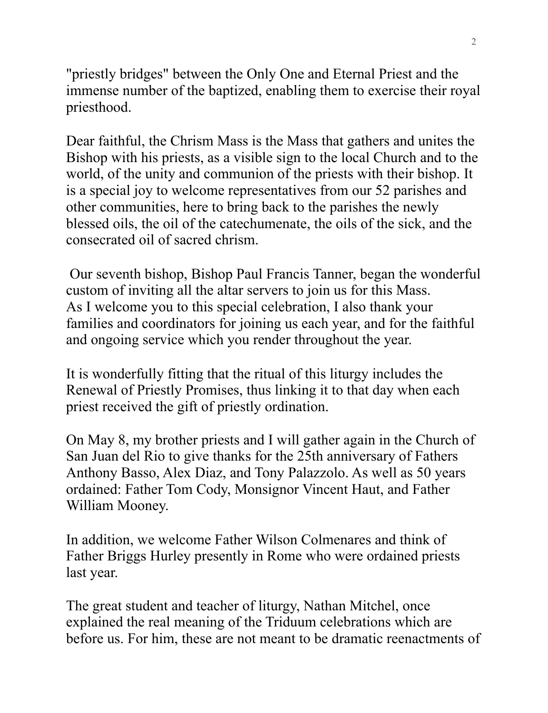"priestly bridges" between the Only One and Eternal Priest and the immense number of the baptized, enabling them to exercise their royal priesthood.

Dear faithful, the Chrism Mass is the Mass that gathers and unites the Bishop with his priests, as a visible sign to the local Church and to the world, of the unity and communion of the priests with their bishop. It is a special joy to welcome representatives from our 52 parishes and other communities, here to bring back to the parishes the newly blessed oils, the oil of the catechumenate, the oils of the sick, and the consecrated oil of sacred chrism.

Our seventh bishop, Bishop Paul Francis Tanner, began the wonderful custom of inviting all the altar servers to join us for this Mass. As I welcome you to this special celebration, I also thank your families and coordinators for joining us each year, and for the faithful and ongoing service which you render throughout the year.

It is wonderfully fitting that the ritual of this liturgy includes the Renewal of Priestly Promises, thus linking it to that day when each priest received the gift of priestly ordination.

On May 8, my brother priests and I will gather again in the Church of San Juan del Rio to give thanks for the 25th anniversary of Fathers Anthony Basso, Alex Diaz, and Tony Palazzolo. As well as 50 years ordained: Father Tom Cody, Monsignor Vincent Haut, and Father William Mooney.

In addition, we welcome Father Wilson Colmenares and think of Father Briggs Hurley presently in Rome who were ordained priests last year.

The great student and teacher of liturgy, Nathan Mitchel, once explained the real meaning of the Triduum celebrations which are before us. For him, these are not meant to be dramatic reenactments of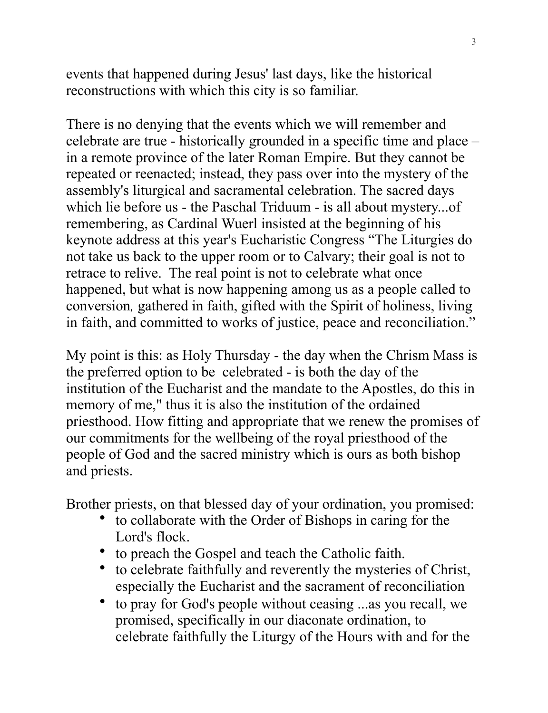events that happened during Jesus' last days, like the historical reconstructions with which this city is so familiar.

There is no denying that the events which we will remember and celebrate are true - historically grounded in a specific time and place – in a remote province of the later Roman Empire. But they cannot be repeated or reenacted; instead, they pass over into the mystery of the assembly's liturgical and sacramental celebration. The sacred days which lie before us - the Paschal Triduum - is all about mystery...of remembering, as Cardinal Wuerl insisted at the beginning of his keynote address at this year's Eucharistic Congress "The Liturgies do not take us back to the upper room or to Calvary; their goal is not to retrace to relive. The real point is not to celebrate what once happened, but what is now happening among us as a people called to conversion*,* gathered in faith, gifted with the Spirit of holiness, living in faith, and committed to works of justice, peace and reconciliation."

My point is this: as Holy Thursday - the day when the Chrism Mass is the preferred option to be celebrated - is both the day of the institution of the Eucharist and the mandate to the Apostles, do this in memory of me," thus it is also the institution of the ordained priesthood. How fitting and appropriate that we renew the promises of our commitments for the wellbeing of the royal priesthood of the people of God and the sacred ministry which is ours as both bishop and priests.

Brother priests, on that blessed day of your ordination, you promised:

- to collaborate with the Order of Bishops in caring for the Lord's flock.
- to preach the Gospel and teach the Catholic faith.
- to celebrate faithfully and reverently the mysteries of Christ, especially the Eucharist and the sacrament of reconciliation
- to pray for God's people without ceasing ...as you recall, we promised, specifically in our diaconate ordination, to celebrate faithfully the Liturgy of the Hours with and for the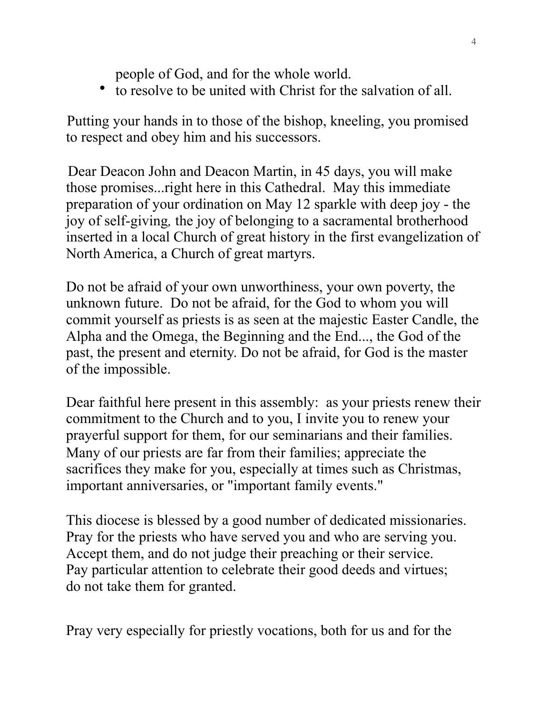people of God, and for the whole world.

• to resolve to be united with Christ for the salvation of all.

Putting your hands in to those of the bishop, kneeling, you promised to respect and obey him and his successors.

Dear Deacon John and Deacon Martin, in 45 days, you will make those promises...right here in this Cathedral. May this immediate preparation of your ordination on May 12 sparkle with deep joy - the joy of self-giving*,* the joy of belonging to a sacramental brotherhood inserted in a local Church of great history in the first evangelization of North America, a Church of great martyrs.

Do not be afraid of your own unworthiness, your own poverty, the unknown future. Do not be afraid, for the God to whom you will commit yourself as priests is as seen at the majestic Easter Candle, the Alpha and the Omega, the Beginning and the End..., the God of the past, the present and eternity. Do not be afraid, for God is the master of the impossible.

Dear faithful here present in this assembly: as your priests renew their commitment to the Church and to you, I invite you to renew your prayerful support for them, for our seminarians and their families. Many of our priests are far from their families; appreciate the sacrifices they make for you, especially at times such as Christmas, important anniversaries, or "important family events."

This diocese is blessed by a good number of dedicated missionaries. Pray for the priests who have served you and who are serving you. Accept them, and do not judge their preaching or their service. Pay particular attention to celebrate their good deeds and virtues; do not take them for granted.

Pray very especially for priestly vocations, both for us and for the